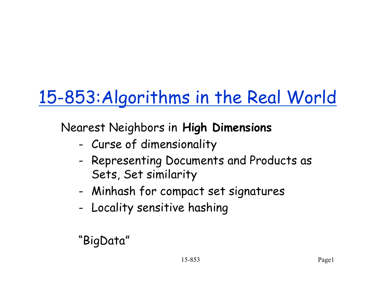# 15-853:Algorithms in the Real World

Nearest Neighbors in **High Dimensions** 

- Curse of dimensionality
- Representing Documents and Products as Sets, Set similarity
- Minhash for compact set signatures
- Locality sensitive hashing

"BigData"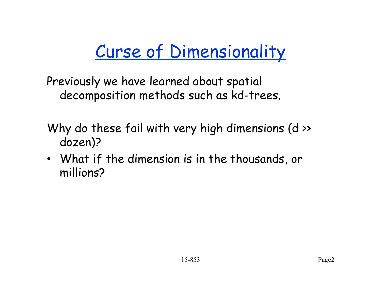Previously we have learned about spatial decomposition methods such as kd-trees.

- Why do these fail with very high dimensions (d >> dozen)?
- What if the dimension is in the thousands, or millions?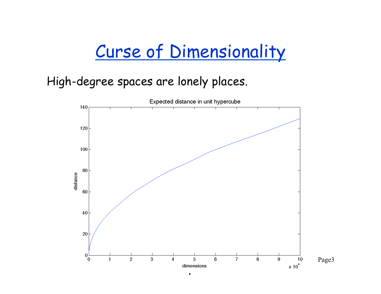#### High-degree spaces are lonely places.

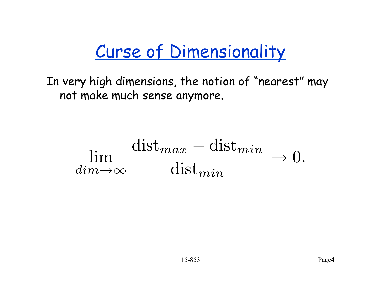In very high dimensions, the notion of "nearest" may not make much sense anymore.

$$
\lim_{dim \to \infty} \frac{\text{dist}_{max} - \text{dist}_{min}}{\text{dist}_{min}} \to 0.
$$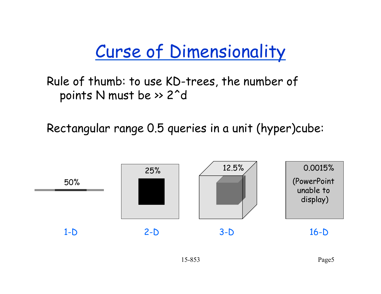Rule of thumb: to use KD-trees, the number of points N must be >> 2^d

Rectangular range 0.5 queries in a unit (hyper)cube:

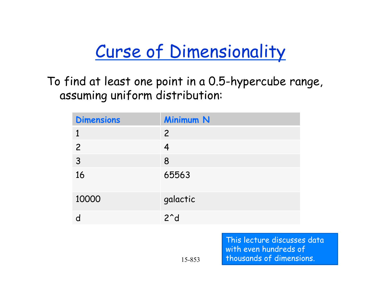To find at least one point in a 0.5-hypercube range, assuming uniform distribution:

| <b>Dimensions</b> | <b>Minimum N</b>    |
|-------------------|---------------------|
|                   | $\overline{2}$      |
| $\overline{2}$    | 4                   |
| 3                 | 8                   |
| 16                | 65563               |
| 10000             | galactic            |
|                   | $2^{\textdegree}$ d |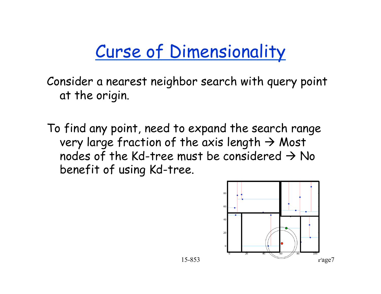Consider a nearest neighbor search with query point at the origin.

To find any point, need to expand the search range very large fraction of the axis length  $\rightarrow$  Most nodes of the Kd-tree must be considered  $\rightarrow$  No benefit of using Kd-tree.

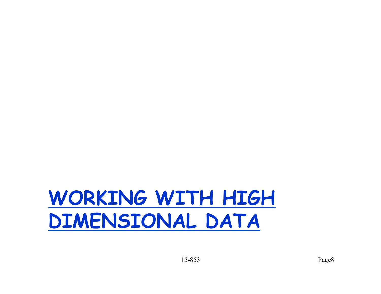# **WORKING WITH HIGH DIMENSIONAL DATA**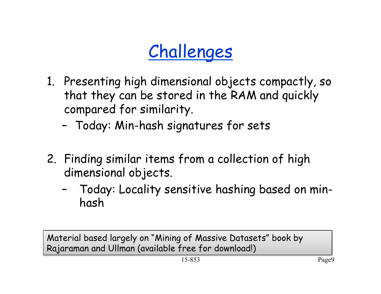## Challenges

- 1. Presenting high dimensional objects compactly, so that they can be stored in the RAM and quickly compared for similarity.
	- Today: Min-hash signatures for sets
- 2. Finding similar items from a collection of high dimensional objects.
	- Today: Locality sensitive hashing based on minhash

Material based largely on "Mining of Massive Datasets" book by Rajaraman and Ullman (available free for download!)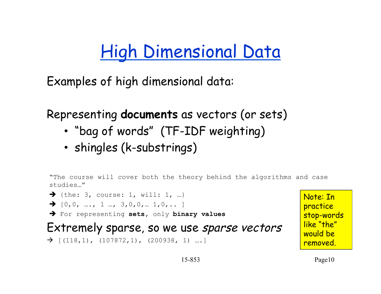#### High Dimensional Data

Examples of high dimensional data:

Representing **documents** as vectors (or sets)

- "bag of words" (TF-IDF weighting)
- shingles (k-substrings)

"The course will cover both the theory behind the algorithms and case studies…"



Note: In practice stop-words like "the" would be removed.

15-853 Page10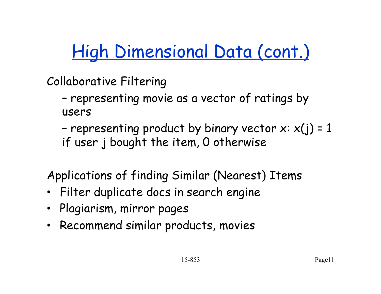High Dimensional Data (cont.)

Collaborative Filtering

– representing movie as a vector of ratings by users

- representing product by binary vector  $x: x(j) = 1$ if user j bought the item, 0 otherwise

Applications of finding Similar (Nearest) Items

- Filter duplicate docs in search engine
- Plagiarism, mirror pages
- Recommend similar products, movies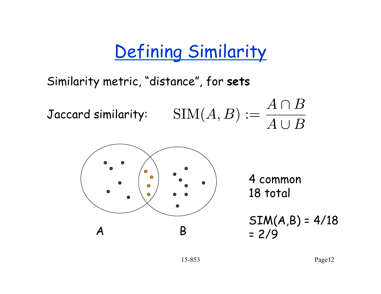#### Defining Similarity

Similarity metric, "distance", for **sets**

Jaccard similarity:  $\text{SIM}(A, B) := \frac{A \cap B}{A \cup B}$ 

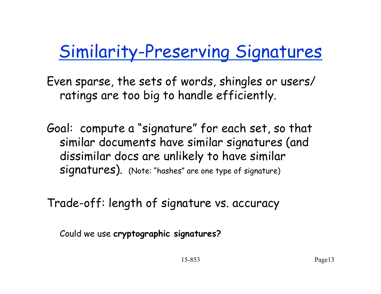#### Similarity-Preserving Signatures

Even sparse, the sets of words, shingles or users/ ratings are too big to handle efficiently.

Goal: compute a "signature" for each set, so that similar documents have similar signatures (and dissimilar docs are unlikely to have similar signatures). (Note: "hashes" are one type of signature)

Trade-off: length of signature vs. accuracy

Could we use **cryptographic signatures?**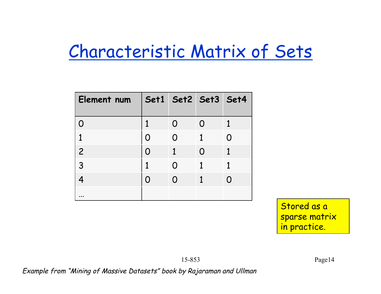#### Characteristic Matrix of Sets

| Element num    | Set1 Set2 Set3 Set4 |                   |   |  |
|----------------|---------------------|-------------------|---|--|
|                |                     | O                 |   |  |
| 1              | N                   | $\Omega$          |   |  |
| $\overline{c}$ | O                   | 1                 | N |  |
| 3              | 1                   | $\mathbf{\Omega}$ |   |  |
|                |                     | O                 |   |  |
|                |                     |                   |   |  |

Stored as a sparse matrix in practice.

Example from "Mining of Massive Datasets" book by Rajaraman and Ullman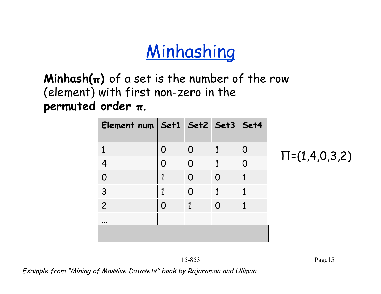#### **Minhashing**

 $Minhash(\pi)$  of a set is the number of the row (element) with first non-zero in the **permuted order π**.

| Element num Set1 Set2 Set3 Set4 |   |          |          |   |
|---------------------------------|---|----------|----------|---|
|                                 |   |          |          |   |
| 1                               | O | $\Omega$ |          | O |
|                                 |   | $\Omega$ | 1        |   |
| O                               |   | O        | O        |   |
| 3                               | 1 | O        | 1        | 1 |
| $\overline{c}$                  | O | 1        | $\Omega$ |   |
| $\cdots$                        |   |          |          |   |
|                                 |   |          |          |   |

 $\Pi$ =(1,4,0,3,2)

Example from "Mining of Massive Datasets" book by Rajaraman and Ullman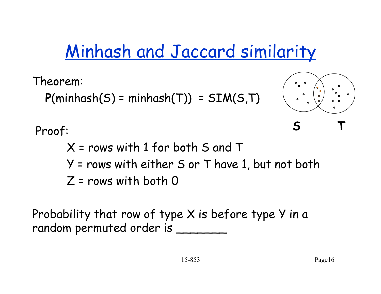#### Minhash and Jaccard similarity

Theorem:

 $P(\text{minhash}(S) = \text{minhash}(T)) = SIM(S, T)$ 



Proof:

X = rows with 1 for both S and T Y = rows with either S or T have 1, but not both  $Z = rows$  with both  $Q$ 

Probability that row of type X is before type Y in a random permuted order is \_\_\_\_\_\_\_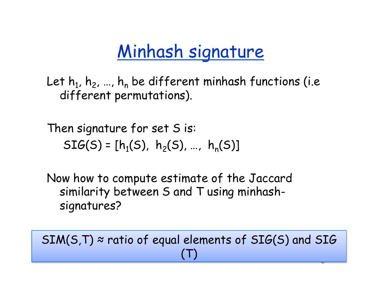#### Minhash signature

Let  $h_1$ ,  $h_2$ , ...,  $h_n$  be different minhash functions (i.e different permutations).

Then signature for set S is:  $SIG(S) = [h_1(S), h_2(S), ..., h_n(S)]$ 

Now how to compute estimate of the Jaccard similarity between S and T using minhashsignatures?

15-9<br>3 - Andrew Holland, amerikansk politiker<br>3 - Andrew Holland, amerikansk politiker<br>17 - Andrew Holland, amerikansk politiker<br>17 - Andrew Holland, amerikansk politiker<br>17 - Andrew Holland, amerikansk politiker<br>17 - Andr  $SIM(S,T) \approx$  ratio of equal elements of  $SIG(S)$  and  $SIG$ (T)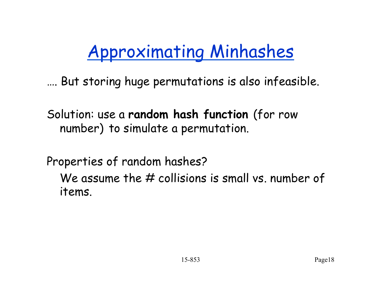## Approximating Minhashes

…. But storing huge permutations is also infeasible.

Solution: use a **random hash function** (for row number) to simulate a permutation.

Properties of random hashes?

We assume the  $#$  collisions is small vs. number of items.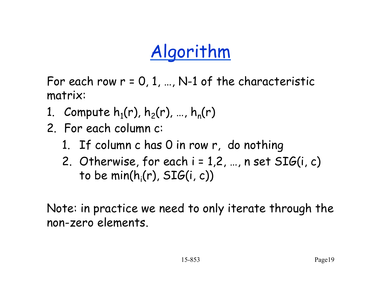## Algorithm

For each row  $r = 0, 1, ..., N-1$  of the characteristic matrix:

- 1. Compute  $h_1(r)$ ,  $h_2(r)$ , ...,  $h_n(r)$
- 2. For each column c:
	- 1. If column c has 0 in row r, do nothing
	- 2. Otherwise, for each  $i = 1, 2, ..., n$  set  $SIG(i, c)$ to be  $\mathsf{min}(\mathsf{h}_{\mathsf{i}}(\mathsf{r}),\, \mathsf{SIG}(\mathsf{i},\, \mathsf{c}))$

Note: in practice we need to only iterate through the non-zero elements.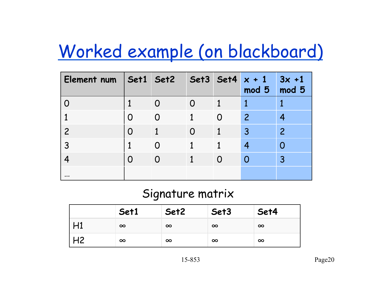#### Worked example (on blackboard)

| Element num   Set1   Set2   Set3   Set4 $x + 1$ |   |          |          | mod 5          | $3x + 1$<br>mod 5 |
|-------------------------------------------------|---|----------|----------|----------------|-------------------|
|                                                 |   | O        |          |                |                   |
|                                                 | O | $\Omega$ | $\Omega$ | $\overline{2}$ |                   |
| $\overline{c}$                                  | O |          |          | $\overline{3}$ | $\overline{2}$    |
| 3                                               |   |          |          |                |                   |
|                                                 | O | $\Omega$ |          |                | 3                 |
| $\cdots$                                        |   |          |          |                |                   |

#### Signature matrix

|    | Set1     | Set2     | Set3     | Set4     |
|----|----------|----------|----------|----------|
|    | $\infty$ | $\infty$ | $\infty$ | $\infty$ |
| H2 | $\infty$ | $\infty$ | $\infty$ | $\infty$ |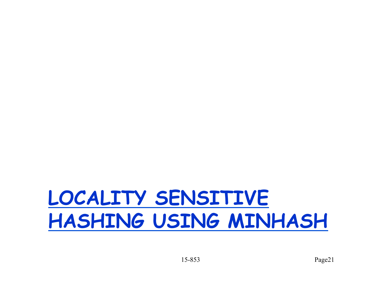# **LOCALITY SENSITIVE HASHING USING MINHASH**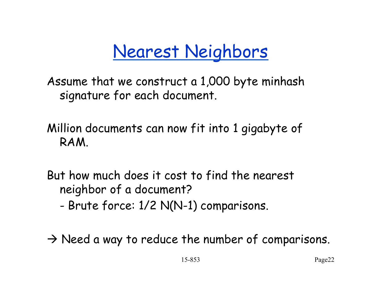#### Nearest Neighbors

Assume that we construct a 1,000 byte minhash signature for each document.

Million documents can now fit into 1 gigabyte of RAM.

But how much does it cost to find the nearest neighbor of a document?

- Brute force: 1/2 N(N-1) comparisons.

 $\rightarrow$  Need a way to reduce the number of comparisons.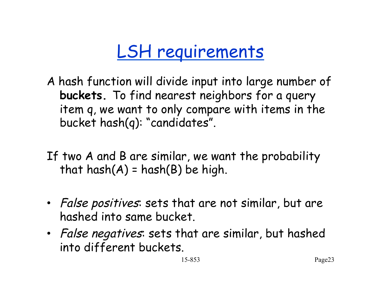#### LSH requirements

- A hash function will divide input into large number of **buckets.** To find nearest neighbors for a query item q, we want to only compare with items in the bucket hash(q): "candidates".
- If two A and B are similar, we want the probability that  $hash(A) = hash(B)$  be high.
- False positives: sets that are not similar, but are hashed into same bucket.
- False negatives: sets that are similar, but hashed into different buckets.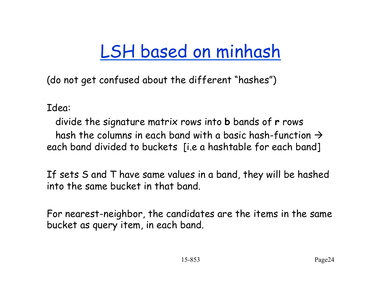#### LSH based on minhash

(do not get confused about the different "hashes")

Idea:

 divide the signature matrix rows into **b** bands of **r** rows hash the columns in each band with a basic hash-function  $\rightarrow$ each band divided to buckets [i.e a hashtable for each band]

If sets S and T have same values in a band, they will be hashed into the same bucket in that band.

For nearest-neighbor, the candidates are the items in the same bucket as query item, in each band.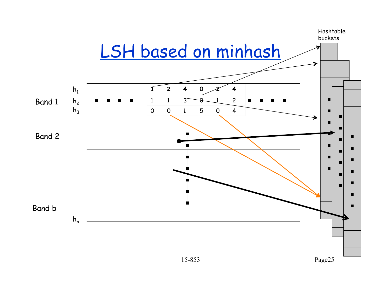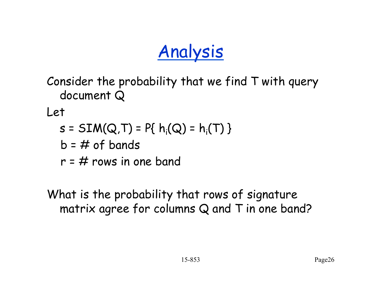#### Analysis

Consider the probability that we find T with query document Q

Let

- $s = SIM(Q,T) = P\{ h_i(Q) = h_i(T) \}$ 
	- $b = #$  of bands
	- $r = #$  rows in one band

What is the probability that rows of signature matrix agree for columns Q and T in one band?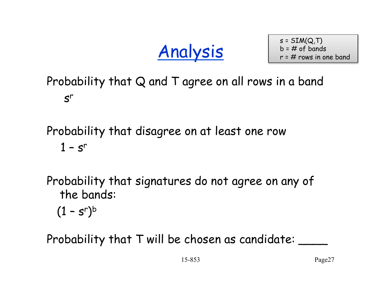Analysis

 $s = SIM(Q, T)$  $b = #$  of bands  $r = #$  rows in one band

Probability that Q and T agree on all rows in a band  $S^r$ 

Probability that disagree on at least one row  $1 - s<sup>r</sup>$ 

Probability that signatures do not agree on any of the bands:

 $(1 - s^r)^b$ 

Probability that T will be chosen as candidate: \_\_\_\_\_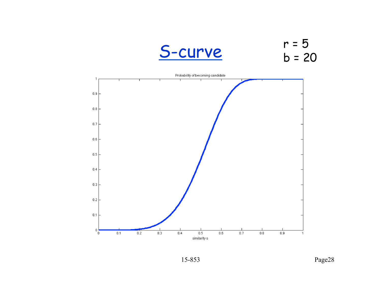

r = 5  $b = 20$ 

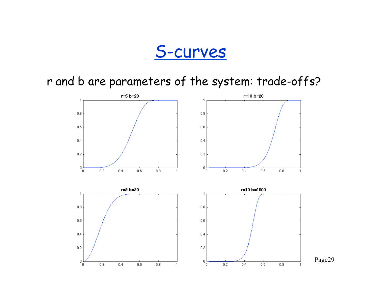#### S-curves

r and b are parameters of the system: trade-offs?

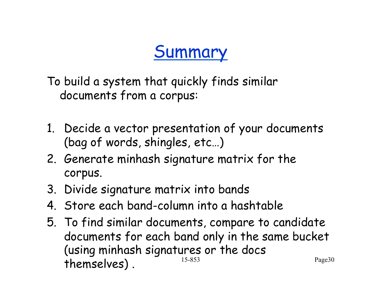#### Summary

To build a system that quickly finds similar documents from a corpus:

- 1. Decide a vector presentation of your documents (bag of words, shingles, etc…)
- 2. Generate minhash signature matrix for the corpus.
- 3. Divide signature matrix into bands
- 4. Store each band-column into a hashtable
- 5. To find similar documents, compare to candidate documents for each band only in the same bucket (using minhash signatures or the docs themselves). 15-853 Page30